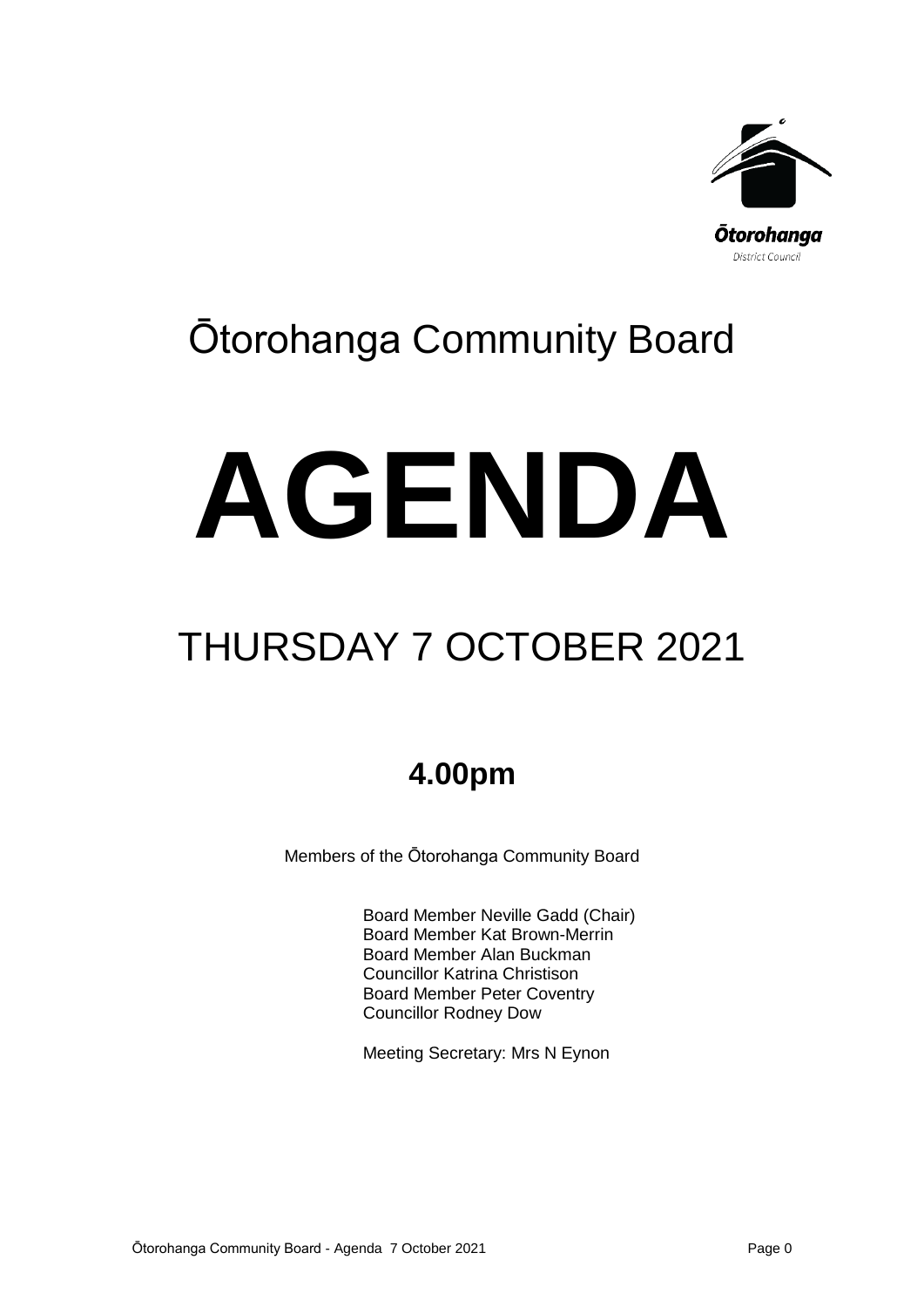

## Ōtorohanga Community Board

# **AGENDA**

# THURSDAY 7 OCTOBER 2021

## **4.00pm**

Members of the Ōtorohanga Community Board

Board Member Neville Gadd (Chair) Board Member Kat Brown-Merrin Board Member Alan Buckman Councillor Katrina Christison Board Member Peter Coventry Councillor Rodney Dow

Meeting Secretary: Mrs N Eynon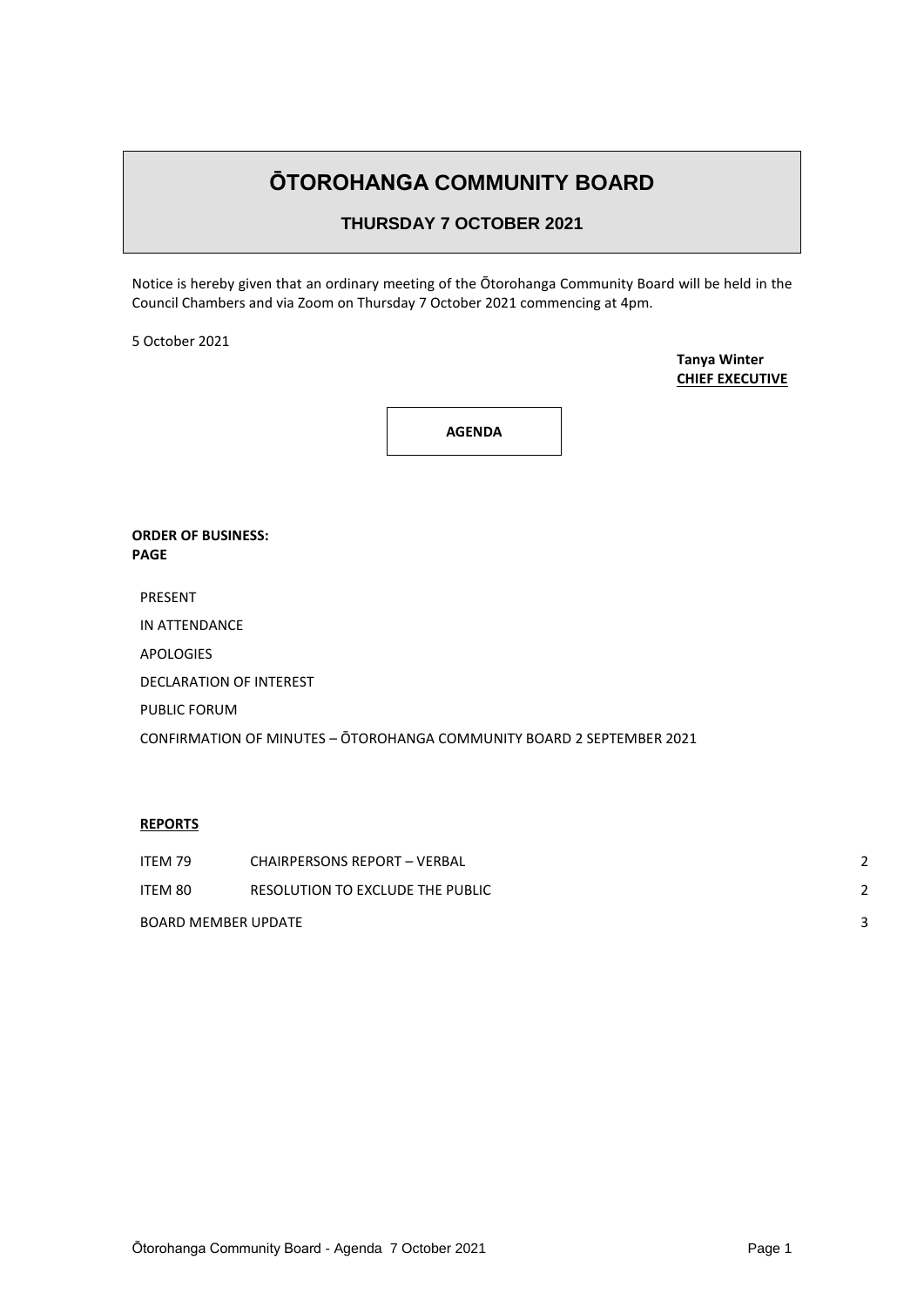### **ŌTOROHANGA COMMUNITY BOARD**

#### **THURSDAY 7 OCTOBER 2021**

Notice is hereby given that an ordinary meeting of the Ōtorohanga Community Board will be held in the Council Chambers and via Zoom on Thursday 7 October 2021 commencing at 4pm.

5 October 2021

**Tanya Winter CHIEF EXECUTIVE**

**AGENDA**

#### **ORDER OF BUSINESS: PAGE**

PRESENT

IN ATTENDANCE

APOLOGIES

DECLARATION OF INTEREST

PUBLIC FORUM

CONFIRMATION OF MINUTES – ŌTOROHANGA COMMUNITY BOARD 2 SEPTEMBER 2021

#### **REPORTS**

| ITEM 79             | <b>CHAIRPERSONS REPORT - VERBAL</b> | 2 |
|---------------------|-------------------------------------|---|
| ITEM 80             | RESOLUTION TO EXCLUDE THE PUBLIC    |   |
| BOARD MEMBER UPDATE |                                     |   |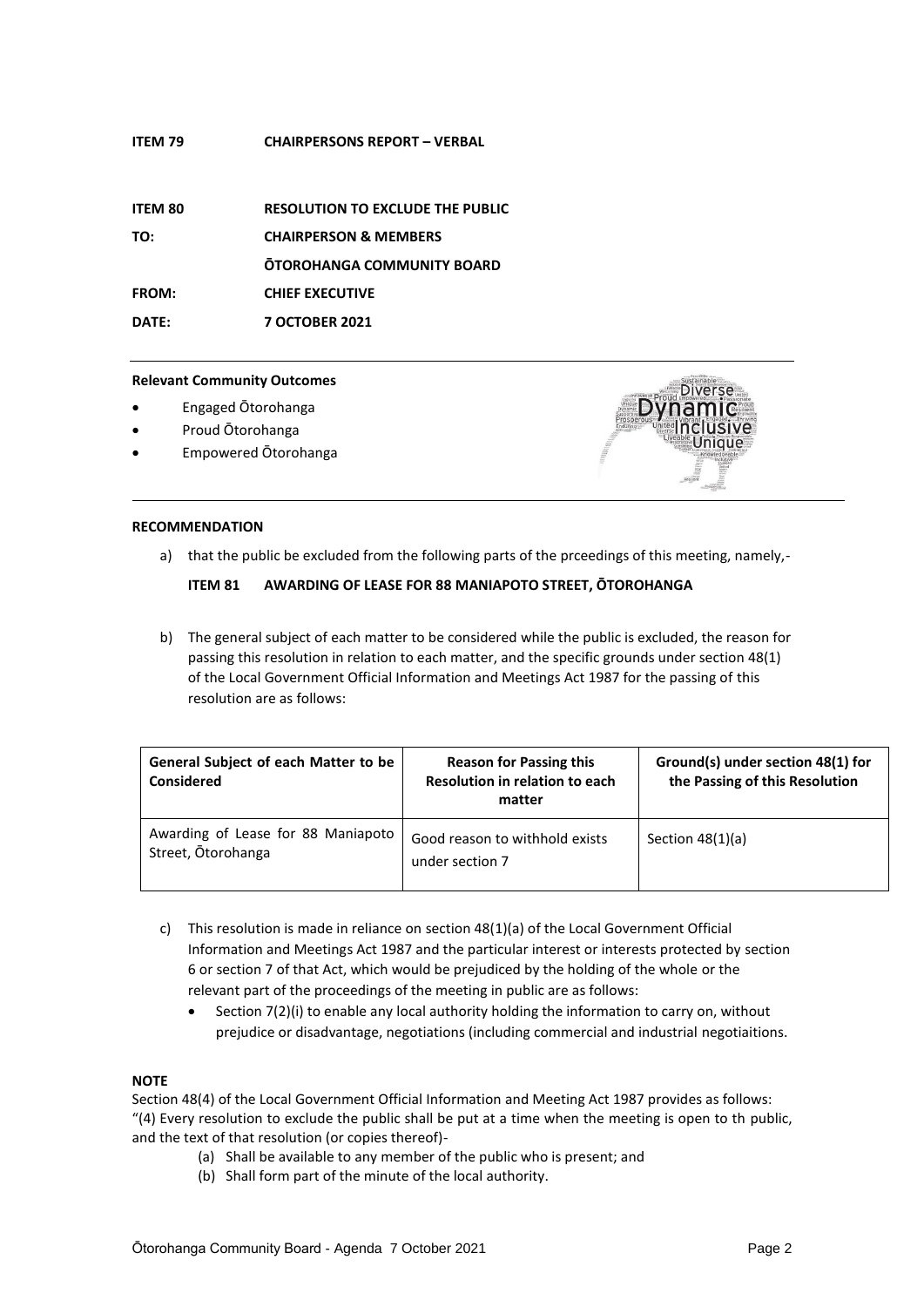#### **ITEM 79 CHAIRPERSONS REPORT – VERBAL**

| <b>ITEM 80</b> | <b>RESOLUTION TO EXCLUDE THE PUBLIC</b> |
|----------------|-----------------------------------------|
| TO:            | <b>CHAIRPERSON &amp; MEMBERS</b>        |
|                | <b>OTOROHANGA COMMUNITY BOARD</b>       |
| <b>FROM:</b>   | <b>CHIEF EXECUTIVE</b>                  |
| DATE:          | <b>7 OCTOBER 2021</b>                   |

#### **Relevant Community Outcomes**

- Engaged Ōtorohanga
- Proud Ōtorohanga
- Empowered Ōtorohanga



#### **RECOMMENDATION**

a) that the public be excluded from the following parts of the prceedings of this meeting, namely,-

#### **ITEM 81 AWARDING OF LEASE FOR 88 MANIAPOTO STREET, ŌTOROHANGA**

b) The general subject of each matter to be considered while the public is excluded, the reason for passing this resolution in relation to each matter, and the specific grounds under section 48(1) of the Local Government Official Information and Meetings Act 1987 for the passing of this resolution are as follows:

| <b>General Subject of each Matter to be</b><br><b>Considered</b> | <b>Reason for Passing this</b><br>Resolution in relation to each<br>matter | Ground(s) under section 48(1) for<br>the Passing of this Resolution |
|------------------------------------------------------------------|----------------------------------------------------------------------------|---------------------------------------------------------------------|
| Awarding of Lease for 88 Maniapoto<br>Street, Otorohanga         | Good reason to withhold exists<br>under section 7                          | Section $48(1)(a)$                                                  |

- c) This resolution is made in reliance on [section 48\(1\)\(a\)](http://www.legislation.govt.nz/act/public/1987/0174/latest/whole.html#DLM123095) of the Local Government Official Information and Meetings Act 1987 and the particular interest or interests protected by section 6 o[r section 7](http://www.legislation.govt.nz/act/public/1987/0174/latest/whole.html#DLM122287) of that Act, which would be prejudiced by the holding of the whole or the relevant part of the proceedings of the meeting in public are as follows:
	- Section 7(2)(i) to enable any local authority holding the information to carry on, without prejudice or disadvantage, negotiations (including commercial and industrial negotiaitions.

#### **NOTE**

Section 48(4) of the Local Government Official Information and Meeting Act 1987 provides as follows: "(4) Every resolution to exclude the public shall be put at a time when the meeting is open to th public, and the text of that resolution (or copies thereof)-

- (a) Shall be available to any member of the public who is present; and
- (b) Shall form part of the minute of the local authority.